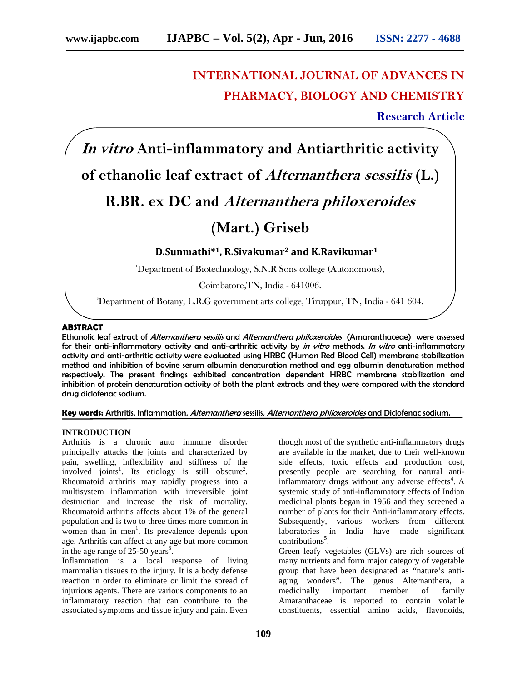# **INTERNATIONAL JOURNAL OF ADVANCES IN PHARMACY, BIOLOGY AND CHEMISTRY**

**Research Article**

*In vitro* **Anti-inflammatory and Antiarthritic activity of ethanolic leaf extract of** *Alternanthera sessilis* **(L.) R.BR. ex DC and** *Alternanthera philoxeroides* **(Mart.) Griseb**

**D.Sunmathi\*1, R.Sivakumar<sup>2</sup> and K.Ravikumar<sup>1</sup>**

<sup>1</sup>Department of Biotechnology, S.N.R Sons college (Autonomous),

Coimbatore,TN, India - 641006.

<sup>2</sup>Department of Botany, L.R.G government arts college, Tiruppur, TN, India - 641 604.

## **ABSTRACT**

Ethanolic leaf extract of *Alternanthera sessilis* and *Alternanthera philoxeroides* (Amaranthaceae) were assessed for their anti-inflammatory activity and anti-arthritic activity by *in vitro* methods. *In vitro* anti-inflammatory activity and anti-arthritic activity were evaluated using HRBC (Human Red Blood Cell) membrane stabilization method and inhibition of bovine serum albumin denaturation method and egg albumin denaturation method respectively. The present findings exhibited concentration dependent HRBC membrane stabilization and inhibition of protein denaturation activity of both the plant extracts and they were compared with the standard drug diclofenac sodium.

**Key words:** Arthritis, Inflammation, *Alternanthera* sessilis, *Alternanthera philoxeroides* and Diclofenac sodium.

## **INTRODUCTION**

Arthritis is a chronic auto immune disorder principally attacks the joints and characterized by pain, swelling, inflexibility and stiffness of the involved joints<sup>1</sup>. Its etiology is still obscure<sup>2</sup>. Rheumatoid arthritis may rapidly progress into a multisystem inflammation with irreversible joint destruction and increase the risk of mortality. Rheumatoid arthritis affects about 1% of the general population and is two to three times more common in women than in men<sup>1</sup>. Its prevalence depends upon age. Arthritis can affect at any age but more common in the age range of  $25-50$  years<sup>3</sup>.

Inflammation is a local response of living mammalian tissues to the injury. It is a body defense reaction in order to eliminate or limit the spread of injurious agents. There are various components to an medicinally inflammatory reaction that can contribute to the associated symptoms and tissue injury and pain. Even

though most of the synthetic anti-inflammatory drugs are available in the market, due to their well-known side effects, toxic effects and production cost, presently people are searching for natural antiinflammatory drugs without any adverse effects<sup>4</sup>. A systemic study of anti-inflammatory effects of Indian medicinal plants began in 1956 and they screened a number of plants for their Anti-inflammatory effects. Subsequently, various workers from different laboratories in India have made significant contributions<sup>5</sup>.

Green leafy vegetables (GLVs) are rich sources of many nutrients and form major category of vegetable group that have been designated as "nature's anti aging wonders". The genus Alternanthera, a important member of family Amaranthaceae is reported to contain volatile constituents, essential amino acids, flavonoids,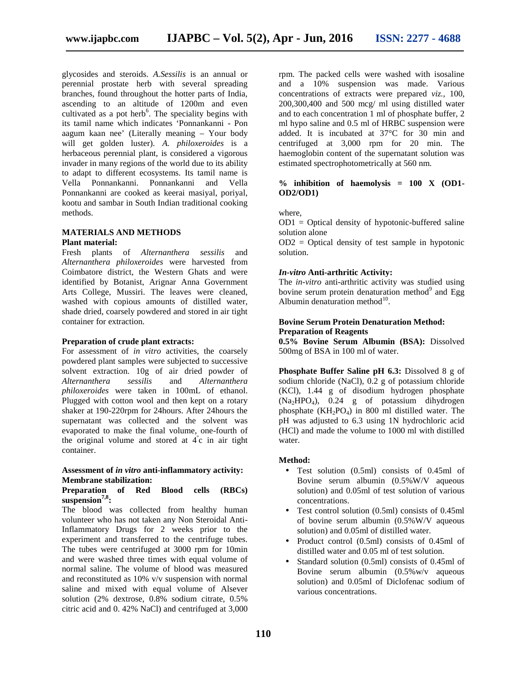glycosides and steroids. *A.Sessilis* is an annual or perennial prostate herb with several spreading branches, found throughout the hotter parts of India, ascending to an altitude of 1200m and even cultivated as a pot herb<sup>6</sup>. The speciality begins with its tamil name which indicates 'Ponnankanni - Pon aagum kaan nee' (Literally meaning – Your body will get golden luster). *A. philoxeroides* is a herbaceous perennial plant, is considered a vigorous invader in many regions of the world due to its ability to adapt to different ecosystems. Its tamil name is Vella Ponnankanni. Ponnankanni and Vella Ponnankanni are cooked as keerai masiyal, poriyal, kootu and sambar in South Indian traditional cooking methods.

## **MATERIALS AND METHODS**

**Plant material:**

Fresh plants of *Alternanthera sessilis* and *Alternanthera philoxeroides* were harvested from Coimbatore district, the Western Ghats and were identified by Botanist, Arignar Anna Government Arts College, Mussiri. The leaves were cleaned, washed with copious amounts of distilled water, shade dried, coarsely powdered and stored in air tight container for extraction.

## **Preparation of crude plant extracts:**

For assessment of *in vitro* activities, the coarsely powdered plant samples were subjected to successive solvent extraction. 10g of air dried powder of *Alternanthera sessilis* and *Alternanthera philoxeroides* were taken in 100mL of ethanol. Plugged with cotton wool and then kept on a rotary shaker at 190-220rpm for 24hours. After 24hours the supernatant was collected and the solvent was evaporated to make the final volume, one-fourth of the original volume and stored at  $4^{\circ}c$  in air tight container.

#### **Assessment of** *in vitro* **anti-inflammatory activity: Membrane stabilization:**

## **Preparation of Red Blood cells (RBCs) suspension7,8:**

The blood was collected from healthy human volunteer who has not taken any Non Steroidal Anti-Inflammatory Drugs for 2 weeks prior to the experiment and transferred to the centrifuge tubes. The tubes were centrifuged at 3000 rpm for 10min and were washed three times with equal volume of normal saline. The volume of blood was measured and reconstituted as 10% v/v suspension with normal saline and mixed with equal volume of Alsever solution (2% dextrose, 0.8% sodium citrate, 0.5% citric acid and 0. 42% NaCl) and centrifuged at 3,000

rpm. The packed cells were washed with isosaline and a 10% suspension was made. Various concentrations of extracts were prepared *viz.,* 100, 200,300,400 and 500 mcg/ ml using distilled water and to each concentration 1 ml of phosphate buffer, 2 ml hypo saline and 0.5 ml of HRBC suspension were added. It is incubated at 37°C for 30 min and centrifuged at 3,000 rpm for 20 min. The haemoglobin content of the supernatant solution was estimated spectrophotometrically at 560 nm.

## **% inhibition of haemolysis = 100 X (OD1- OD2/OD1)**

where,

 $OD1 = Optical density of hypotonic-buffered saline$ solution alone

 $OD2 = Optical density of test sample in hypotonic$ solution.

#### *In-vitro* **Anti-arthritic Activity:**

The *in-vitro* anti-arthritic activity was studied using bovine serum protein denaturation method $9$  and Egg Albumin denaturation method $^{10}$ .

## **Bovine Serum Protein Denaturation Method: Preparation of Reagents**

**0.5% Bovine Serum Albumin (BSA):** Dissolved 500mg of BSA in 100 ml of water.

**Phosphate Buffer Saline pH 6.3:** Dissolved 8 g of sodium chloride (NaCl), 0.2 g of potassium chloride (KCl), 1.44 g of disodium hydrogen phosphate (Na2HPO4), 0.24 g of potassium dihydrogen phosphate  $(KH_2PO_4)$  in 800 ml distilled water. The pH was adjusted to 6.3 using 1N hydrochloric acid (HCl) and made the volume to 1000 ml with distilled water.

## **Method:**

- Test solution (0.5ml) consists of 0.45ml of Bovine serum albumin (0.5%W/V aqueous solution) and 0.05ml of test solution of various concentrations.
- Test control solution (0.5ml) consists of 0.45ml of bovine serum albumin (0.5%W/V aqueous solution) and 0.05ml of distilled water.
- Product control (0.5ml) consists of 0.45ml of distilled water and 0.05 ml of test solution.
- Standard solution (0.5ml) consists of 0.45ml of Bovine serum albumin (0.5%w/v aqueous solution) and 0.05ml of Diclofenac sodium of various concentrations.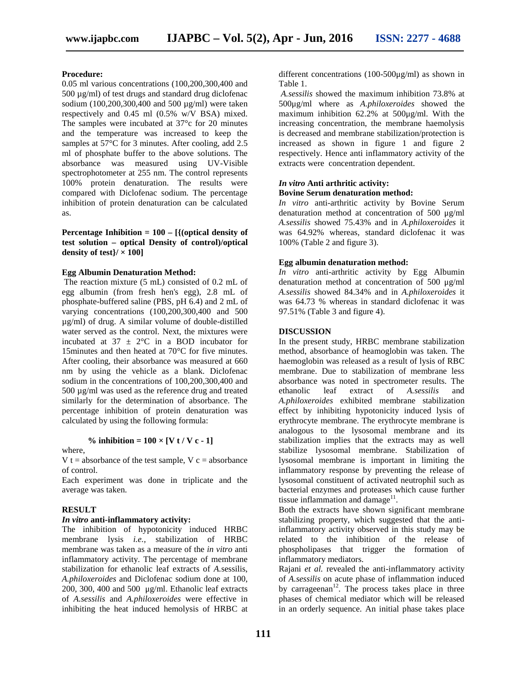#### **Procedure:**

0.05 ml various concentrations (100,200,300,400 and 500 µg/ml) of test drugs and standard drug diclofenac sodium (100,200,300,400 and 500 µg/ml) were taken respectively and 0.45 ml (0.5% w/V BSA) mixed. The samples were incubated at 37°c for 20 minutes and the temperature was increased to keep the samples at 57<sup>°</sup>C for 3 minutes. After cooling, add 2.5 ml of phosphate buffer to the above solutions. The absorbance was measured using UV-Visible spectrophotometer at 255 nm. The control represents 100% protein denaturation. The results were compared with Diclofenac sodium. The percentage inhibition of protein denaturation can be calculated as.

**Percentage Inhibition = 100 – [{(optical density of test solution – optical Density of control)/optical density of test** $\frac{1}{x} \times 100$ 

#### **Egg Albumin Denaturation Method:**

The reaction mixture (5 mL) consisted of 0.2 mL of egg albumin (from fresh hen's egg), 2.8 mL of phosphate-buffered saline (PBS, pH 6.4) and 2 mL of varying concentrations (100,200,300,400 and 500 µg/ml) of drug. A similar volume of double-distilled water served as the control. Next, the mixtures were incubated at  $37 \pm 2$ °C in a BOD incubator for 15minutes and then heated at 70°C for five minutes. After cooling, their absorbance was measured at 660 nm by using the vehicle as a blank. Diclofenac sodium in the concentrations of 100,200,300,400 and 500 µg/ml was used as the reference drug and treated similarly for the determination of absorbance. The percentage inhibition of protein denaturation was calculated by using the following formula:

#### % inhibition =  $100 \times [V t / V c - 1]$

#### where,

V t = absorbance of the test sample,  $V c =$  absorbance of control.

Each experiment was done in triplicate and the average was taken.

#### **RESULT**

#### *In vitro* **anti-inflammatory activity:**

The inhibition of hypotonicity induced HRBC membrane lysis *i.e.,* stabilization of HRBC membrane was taken as a measure of the *in vitro* anti inflammatory activity. The percentage of membrane stabilization for ethanolic leaf extracts of *A.*sessilis, *A.philoxeroides* and Diclofenac sodium done at 100, 200, 300, 400 and 500 μg/ml. Ethanolic leaf extracts of *A.sessilis* and *A.philoxeroides* were effective in inhibiting the heat induced hemolysis of HRBC at different concentrations (100-500μg/ml) as shown in Table 1.

*A.sessilis* showed the maximum inhibition 73.8% at 500μg/ml where as *A.philoxeroides* showed the maximum inhibition 62.2% at 500μg/ml. With the increasing concentration, the membrane haemolysis is decreased and membrane stabilization/protection is increased as shown in figure 1 and figure 2 respectively. Hence anti inflammatory activity of the extracts were concentration dependent.

#### *In vitro* **Anti arthritic activity: Bovine Serum denaturation method:**

*In vitro* anti-arthritic activity by Bovine Serum denaturation method at concentration of 500 μg/ml *A.sessilis* showed 75.43% and in *A.philoxeroides* it was 64.92% whereas, standard diclofenac it was 100% (Table 2 and figure 3).

#### **Egg albumin denaturation method:**

*In vitro* anti-arthritic activity by Egg Albumin denaturation method at concentration of 500 μg/ml *A.sessilis* showed 84.34% and in *A.philoxeroides* it was 64.73 % whereas in standard diclofenac it was 97.51% (Table 3 and figure 4).

#### **DISCUSSION**

In the present study, HRBC membrane stabilization method, absorbance of heamoglobin was taken. The haemoglobin was released as a result of lysis of RBC membrane. Due to stabilization of membrane less absorbance was noted in spectrometer results. The leaf extract of *A.sessilis* and *A.philoxeroides* exhibited membrane stabilization effect by inhibiting hypotonicity induced lysis of erythrocyte membrane. The erythrocyte membrane is analogous to the lysosomal membrane and its stabilization implies that the extracts may as well stabilize lysosomal membrane. Stabilization of lysosomal membrane is important in limiting the inflammatory response by preventing the release of lysosomal constituent of activated neutrophil such as bacterial enzymes and proteases which cause further tissue inflammation and damage $11$ .

Both the extracts have shown significant membrane stabilizing property, which suggested that the antiinflammatory activity observed in this study may be related to the inhibition of the release of phospholipases that trigger the formation of inflammatory mediators.

Rajani *et al.* revealed the anti-inflammatory activity of *A.sessilis* on acute phase of inflammation induced by carrageenan<sup>12</sup>. The process takes place in three phases of chemical mediator which will be released in an orderly sequence. An initial phase takes place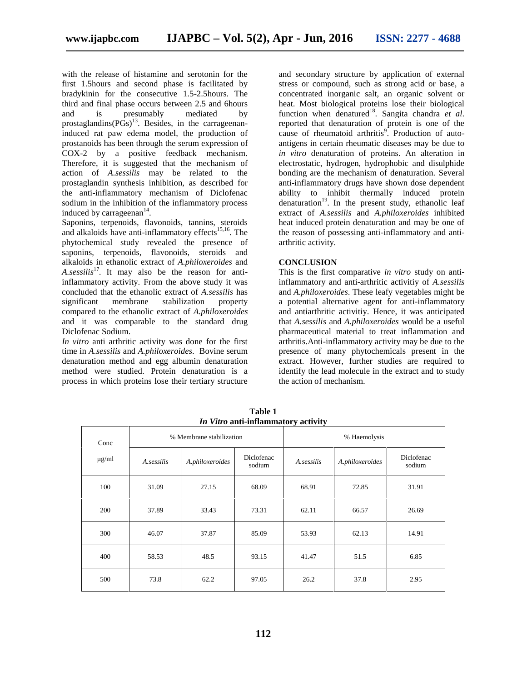with the release of histamine and serotonin for the first 1.5hours and second phase is facilitated by bradykinin for the consecutive 1.5-2.5hours. The third and final phase occurs between 2.5 and 6hours<br>and is presumably mediated by and is presumably mediated by prostaglandins $(P\ddot{G}s)^{13}$ . Besides, in the carrageenaninduced rat paw edema model, the production of prostanoids has been through the serum expression of COX-2 by a positive feedback mechanism. Therefore, it is suggested that the mechanism of action of *A.sessilis* may be related to the prostaglandin synthesis inhibition, as described for the anti-inflammatory mechanism of Diclofenac sodium in the inhibition of the inflammatory process induced by carrageenan<sup>14</sup>.

Saponins, terpenoids, flavonoids, tannins, steroids and alkaloids have anti-inflammatory effects<sup>15,16</sup>. The phytochemical study revealed the presence of saponins, terpenoids, flavonoids, steroids and alkaloids in ethanolic extract of *A.philoxeroides* and *A.sessilis*<sup>17</sup> *.* It may also be the reason for antiinflammatory activity. From the above study it was concluded that the ethanolic extract of *A.sessilis* has significant membrane stabilization property compared to the ethanolic extract of *A.philoxeroides* and it was comparable to the standard drug Diclofenac Sodium.

*In vitro* anti arthritic activity was done for the first time in *A.sessilis* and *A.philoxeroides*. Bovine serum denaturation method and egg albumin denaturation method were studied. Protein denaturation is a process in which proteins lose their tertiary structure

and secondary structure by application of external stress or compound, such as strong acid or base, a concentrated inorganic salt, an organic solvent or heat. Most biological proteins lose their biological function when denatured<sup>18</sup>. Sangita chandra *et al*. reported that denaturation of protein is one of the cause of rheumatoid arthritis $\frac{9}{2}$ . Production of autoantigens in certain rheumatic diseases may be due to *in vitro* denaturation of proteins. An alteration in electrostatic, hydrogen, hydrophobic and disulphide bonding are the mechanism of denaturation. Several anti-inflammatory drugs have shown dose dependent ability to inhibit thermally induced protein denaturation<sup>19</sup>. In the present study, ethanolic leaf extract of *A.sessilis* and *A.philoxeroides* inhibited heat induced protein denaturation and may be one of the reason of possessing anti-inflammatory and anti arthritic activity.

## **CONCLUSION**

This is the first comparative *in vitro* study on antiinflammatory and anti-arthritic activitiy of *A.sessilis* and *A.philoxeroides*. These leafy vegetables might be a potential alternative agent for anti-inflammatory and antiarthritic activitiy. Hence, it was anticipated that *A.sessilis* and *A.philoxeroides* would be a useful pharmaceutical material to treat inflammation and arthritis.Anti-inflammatory activity may be due to the presence of many phytochemicals present in the extract. However, further studies are required to identify the lead molecule in the extract and to study the action of mechanism.

|            |                          |                 | <i>In vitro</i> anti-inflammatory activity |              |                 |                      |
|------------|--------------------------|-----------------|--------------------------------------------|--------------|-----------------|----------------------|
| Conc       | % Membrane stabilization |                 |                                            | % Haemolysis |                 |                      |
| $\mu$ g/ml | A.sessilis               | A.philoxeroides | Diclofenac<br>sodium                       | A.sessilis   | A.philoxeroides | Diclofenac<br>sodium |
| 100        | 31.09                    | 27.15           | 68.09                                      | 68.91        | 72.85           | 31.91                |
| 200        | 37.89                    | 33.43           | 73.31                                      | 62.11        | 66.57           | 26.69                |
| 300        | 46.07                    | 37.87           | 85.09                                      | 53.93        | 62.13           | 14.91                |
| 400        | 58.53                    | 48.5            | 93.15                                      | 41.47        | 51.5            | 6.85                 |
| 500        | 73.8                     | 62.2            | 97.05                                      | 26.2         | 37.8            | 2.95                 |

**Table 1** *In Vitro* **anti-inflammatory activity**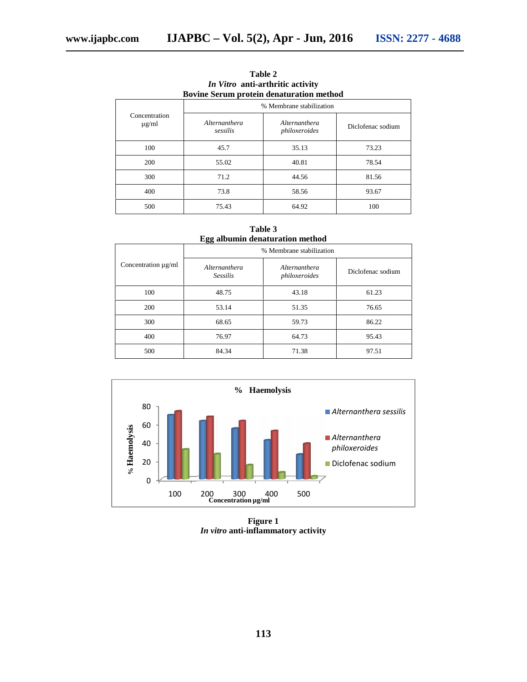|                                                 |                           | <i>In valo and at the net activity</i> |                   |  |  |  |  |
|-------------------------------------------------|---------------------------|----------------------------------------|-------------------|--|--|--|--|
| <b>Bovine Serum protein denaturation method</b> |                           |                                        |                   |  |  |  |  |
|                                                 | % Membrane stabilization  |                                        |                   |  |  |  |  |
| Concentration<br>$\mu$ g/ml                     | Alternanthera<br>sessilis | Alternanthera<br>philoxeroides         | Diclofenac sodium |  |  |  |  |
| 100                                             | 45.7                      | 35.13                                  | 73.23             |  |  |  |  |
| 200                                             | 55.02                     | 40.81                                  | 78.54             |  |  |  |  |
| 300                                             | 71.2                      | 44.56                                  | 81.56             |  |  |  |  |
| 400                                             | 73.8                      | 58.56                                  | 93.67             |  |  |  |  |
| 500                                             | 75.43                     | 64.92                                  | 100               |  |  |  |  |
|                                                 |                           |                                        |                   |  |  |  |  |

**Table 2** *In Vitro* **anti-arthritic activity anti-arthritic activity**

**Table 3 Egg albumin denaturation method denaturation method**

|                          | 88<br>% Membrane stabilization   |                                |                   |  |  |  |
|--------------------------|----------------------------------|--------------------------------|-------------------|--|--|--|
| Concentration $\mu$ g/ml | Alternanthera<br><b>Sessilis</b> | Alternanthera<br>philoxeroides | Diclofenac sodium |  |  |  |
| 100                      | 48.75                            | 43.18                          | 61.23             |  |  |  |
| 200                      | 53.14                            | 51.35                          | 76.65             |  |  |  |
| 300                      | 68.65                            | 59.73                          | 86.22             |  |  |  |
| 400                      | 76.97                            | 64.73                          | 95.43             |  |  |  |
| 500                      | 84.34                            | 71.38                          | 97.51             |  |  |  |



**Figure 1**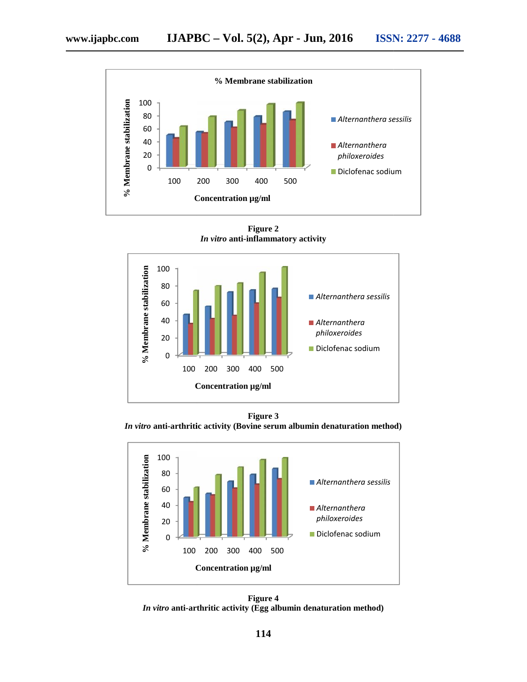

**Figure 2** *In vitro* **anti-inflammatory activity**



**Figure 3** *In vitro* **anti-arthritic activity (Bovine serum albumin denaturation method)**



**Figure 4** *In vitro* **anti-arthritic activity (Egg albumin denaturation method)**